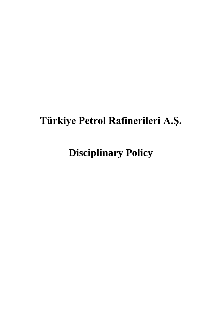# **Türkiye Petrol Rafinerileri A.Ş.**

**Disciplinary Policy**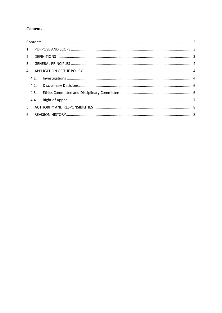#### <span id="page-1-0"></span>**Contents**

|  | 4.2. |  |  |  |  |
|--|------|--|--|--|--|
|  | 4.3. |  |  |  |  |
|  | 4.4. |  |  |  |  |
|  |      |  |  |  |  |
|  |      |  |  |  |  |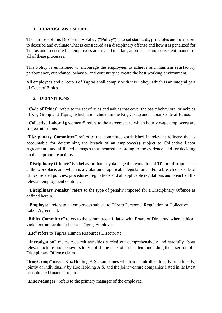#### <span id="page-2-0"></span>**1. PURPOSE AND SCOPE**

The purpose of this Disciplinary Policy ("**Policy**") is to set standards, principles and rules used to describe and evaluate what is considered as a disciplinary offense and how it is penalized for Tüpraş and to ensure that employees are treated in a fair, appropriate and consistent manner in all of these processes.

This Policy is envisioned to encourage the employees to achieve and maintain satisfactory performance, attendance, behavior and continuity to create the best working environment.

All employees and directors of Tüpraş shall comply with this Policy, which is an integral part of Code of Ethics.

## <span id="page-2-1"></span>**2. DEFINITIONS**

**"Code of Ethics"** refers to the set of rules and values that cover the basic behavioral principles of Koç Group and Tüpraş, which are included in the Koç Group and Tüpraş Code of Ethics.

**"Collective Labor Agreement"** refers to the agreement to which hourly wage employees are subject at Tüpraş.

"**Disciplinary Committee**" refers to the committee established in relevant refinery that is accountable for determining the breach of an employee(s) subject to Collective Labor Agreement , and affiliated damages that incurred according to the evidence, and for deciding on the appropriate actions.

"**Disciplinary Offence**" is a behavior that may damage the reputation of Tüpraş, disrupt peace at the workplace, and which is a violation of applicable legislation and/or a breach of Code of Ethics, related policies, procedures, regulations and all applicable regulations and breach of the relevant employment contract.

"**Disciplinary Penalty**" refers to the type of penalty imposed for a Disciplinary Offence as defined herein.

"**Employee**" refers to all employees subject to Tüpraş Personnel Regulation or Collective Labor Agreement.

**"Ethics Committee"** refers to the committee affiliated with Board of Directors, where ethical violations are evaluated for all Tüpraş Employees.

"HR" refers to Tüpraş Human Resources Directorate.

"**Investigation**" means research activities carried out comprehensively and carefully about relevant actions and behaviors to establish the facts of an incident, including the assertion of a Disciplinary Offence claim.

"**Koç Group**" means Koç Holding A.Ş., companies which are controlled directly or indirectly, jointly or individually by Koç Holding A.Ş. and the joint venture companies listed in its latest consolidated financial report.

"**Line Manager**" refers to the primary manager of the employee.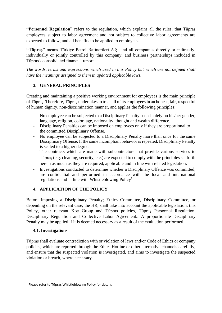**"Personnel Regulation"** refers to the regulation, which explains all the rules, that Tüpraş employees subject to labor agreement and not subject to collective labor agreements are expected to follow, and all benefits to be applied to employees.

**"Tüpraş"** means Türkiye Petrol Rafinerileri A.Ş. and all companies directly or indirectly, individually or jointly controlled by this company, and business partnerships included in Tüpraş's consolidated financial report.

*The words, terms and expressions which used in this Policy but which are not defined shall have the meanings assigned to them in updated applicable laws.*

## <span id="page-3-0"></span>**3. GENERAL PRINCIPLES**

Creating and maintaining a positive working environment for employees is the main principle of Tüpraş. Therefore, Tüpraş undertakes to treat all of its employees in an honest, fair, respectful of human dignity, non-discrimination manner, and applies the following principles:

- No employee can be subjected to a Disciplinary Penalty based solely on his/her gender, language, religion, color, age, nationality, thought and wealth difference.
- Disciplinary Penalties can be imposed on employees only if they are proportional to the committed Disciplinary Offense.
- No employee can be subjected to a Disciplinary Penalty more than once for the same Disciplinary Offense. If the same incompliant behavior is repeated, Disciplinary Penalty is scaled to a higher degree.
- The contracts which are made with subcontractors that provide various services to Tüpraş (e.g. cleaning, security, etc.) are expected to comply with the principles set forth herein as much as they are required, applicable and in line with related legislation.
- Investigations conducted to determine whether a Disciplinary Offence was committed, are confidential and performed in accordance with the local and international regulations and in line with Whistleblowing  $Policy<sup>1</sup>$

## <span id="page-3-1"></span>**4. APPLICATION OF THE POLICY**

Before imposing a Disciplinary Penalty; Ethics Committee, Disciplinary Committee, or depending on the relevant case, the HR, shall take into account the applicable legislation, this Policy, other relevant Koç Group and Tüpraş policies, Tüpraş Personnel Regulation, Disciplinary Regulation and Collective Labor Agreement.. A proportionate Disciplinary Penalty may be applied if it is deemed necessary as a result of the evaluation performed.

#### <span id="page-3-2"></span>**4.1. Investigations**

Tüpraş shall evaluate contradiction with or violation of laws and/or Code of Ethics or company policies, which are reported through the Ethics Hotline or other alternative channels carefully, and ensure that the suspected violation is investigated, and aims to investigate the suspected violation or breach, where necessary.

<sup>1</sup> Please refer to Tüpraş Whistleblowing Policy for details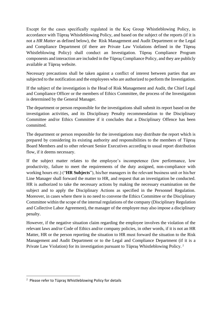Except for the cases specifically regulated in the Koç Group Whistleblowing Policy, in accordance with Tüpraş Whistleblowing Policy, and based on the subject of the reports (if it is not a *HR Matter* as defined below), the Risk Management and Audit Department or the Legal and Compliance Department (if there are Private Law Violations defined in the Tüpraş Whistleblowing Policy) shall conduct an Investigation. Tüpraş Compliance Program components and interaction are included in the Tüpraş Compliance Policy, and they are publicly available at Tüpraş website.

Necessary precautions shall be taken against a conflict of interest between parties that are subjected to the notification and the employees who are authorized to perform the Investigation.

If the subject of the investigation is the Head of Risk Management and Audit, the Chief Legal and Compliance Officer or the members of Ethics Committee, the process of the Investigation is determined by the General Manager.

The department or person responsible for the investigations shall submit its report based on the investigation activities, and its Disciplinary Penalty recommendation to the Disciplinary Committee and/or Ethics Committee if it concludes that a Disciplinary Offence has been committed.

The department or person responsible for the investigations may distribute the report which is prepared by considering its existing authority and responsibilities to the members of Tüpraş Board Members and to other relevant Senior Executives according to usual report distribution flow, if it deems necessary.

If the subject matter relates to the employee's incompetence (low performance, low productivity, failure to meet the requirements of the duty assigned, non-compliance with working hours etc.) ("**HR Subjects**"), his/her managers in the relevant business unit or his/her Line Manager shall forward the matter to HR, and request that an investigation be conducted. HR is authorized to take the necessary actions by making the necessary examination on the subject and to apply the Disciplinary Actions as specified in the Personnel Regulation. Moreover, in cases where there is no need to convene the Ethics Committee or the Disciplinary Committee within the scope of the internal regulations of the company (Disciplinary Regulation and Collective Labor Agreement), the manager of the employee may also impose a disciplinary penalty.

However, if the negative situation claim regarding the employee involves the violation of the relevant laws and/or Code of Ethics and/or company policies, in other words, if it is not an HR Matter, HR or the person reporting the situation to HR must forward the situation to the Risk Management and Audit Department or to the Legal and Compliance Department (if it is a Private Law Violation) for its investigation pursuant to Tüpraş Whistleblowing Policy. <sup>2</sup>

 $2$  Please refer to Tüpras Whistleblowing Policy for details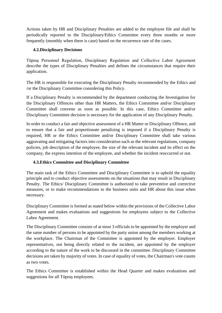Actions taken by HR and Disciplinary Penalties are added to the employee file and shall be periodically reported to the Disciplinary/Ethics Committee every three months or more frequently (monthly when there is case) based on the recurrence rate of the cases.

### <span id="page-5-0"></span>**4.2.Disciplinary Decisions**

Tüpraş Personnel Regulation, Disciplinary Regulation and Collective Labor Agreement describe the types of Disciplinary Penalties and defines the circumstances that require their application.

The HR is responsible for executing the Disciplinary Penalty recommended by the Ethics and /or the Disciplinary Committee considering this Policy.

If a Disciplinary Penalty is recommended by the department conducting the Investigation for the Disciplinary Offences other than HR Matters, the Ethics Committee and/or Disciplinary Committee shall convene as soon as possible. In this case, Ethics Committee and/or Disciplinary Committee decision is necessary for the application of any Disciplinary Penalty.

In order to conduct a fair and objective assessment of a HR Matter or Disciplinary Offence, and to ensure that a fair and proportionate penalizing is imposed if a Disciplinary Penalty is required, HR or the Ethics Committee and/or Disciplinary Committee shall take various aggravating and mitigating factors into consideration such as the relevant regulations, company policies, job description of the employee, the size of the relevant incident and its effect on the company, the express intention of the employee, and whether the incident reoccurred or not.

#### <span id="page-5-1"></span>**4.3.Ethics Committee and Disciplinary Committee**

The main task of the Ethics Committee and Disciplinary Committee is to uphold the equality principle and to conduct objective assessments on the situations that may result in Disciplinary Penalty. The Ethics/ Disciplinary Committee is authorized to take preventive and corrective measures, or to make recommendations to the business units and HR about this issue when necessary.

Disciplinary Committee is formed as stated below within the provisions of the Collective Labor Agreement and makes evaluations and suggestions for employees subject to the Collective Labor Agreement.

The Disciplinary Committee consists of at most 3 officials to be appointed by the employer and the same number of persons to be appointed by the party union among the members working at the workplace. The Chairman of the Committee is appointed by the employer. Employer representatives, not being directly related to the incident, are appointed by the employer according to the nature of the work to be discussed in the committee. Disciplinary Committee decisions are taken by majority of votes. In case of equality of votes, the Chairman's vote counts as two votes.

The Ethics Committee is established within the Head Quarter and makes evaluations and suggestions for all Tüpraş employees.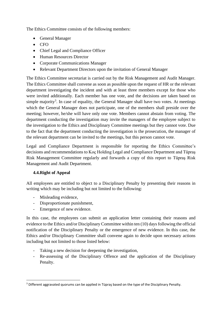The Ethics Committee consists of the following members:

- General Manager
- CFO
- Chief Legal and Compliance Officer
- Human Resources Director
- Corporate Communications Manager
- Relevant Department Directors upon the invitation of General Manager

The Ethics Committee secretariat is carried out by the Risk Management and Audit Manager. The Ethics Committee shall convene as soon as possible upon the request of HR or the relevant department investigating the incident and with at least three members except for those who were invited additionally. Each member has one vote, and the decisions are taken based on simple majority<sup>3</sup>. In case of equality, the General Manager shall have two votes. At meetings which the General Manager does not participate, one of the members shall preside over the meeting; however, he/she will have only one vote. Members cannot abstain from voting. The department conducting the investigation may invite the managers of the employee subject to the investigation to the Ethics and Disciplinary Committee meetings but they cannot vote. Due to the fact that the department conducting the investigation is the prosecution, the manager of the relevant department can be invited to the meetings, but this person cannot vote.

Legal and Compliance Department is responsible for reporting the Ethics Committee's decisions and recommendations to Koç Holding Legal and Compliance Department and Tüpraş Risk Management Committee regularly and forwards a copy of this report to Tüpraş Risk Management and Audit Department.

#### <span id="page-6-0"></span>**4.4.Right of Appeal**

All employees are entitled to object to a Disciplinary Penalty by presenting their reasons in writing which may be including but not limited to the following:

- Misleading evidence,
- Disproportionate punishment,
- Emergence of new evidence.

In this case, the employees can submit an application letter containing their reasons and evidence to the Ethics and/or Disciplinary Committee within ten (10) days following the official notification of the Disciplinary Penalty or the emergence of new evidence. In this case, the Ethics and/or Disciplinary Committee shall convene again to decide upon necessary actions including but not limited to those listed below:

- Taking a new decision for deepening the investigation,
- Re-assessing of the Disciplinary Offence and the application of the Disciplinary Penalty.

<sup>&</sup>lt;sup>3</sup> Different aggravated quorums can be applied in Tüpraş based on the type of the Disciplinary Penalty.